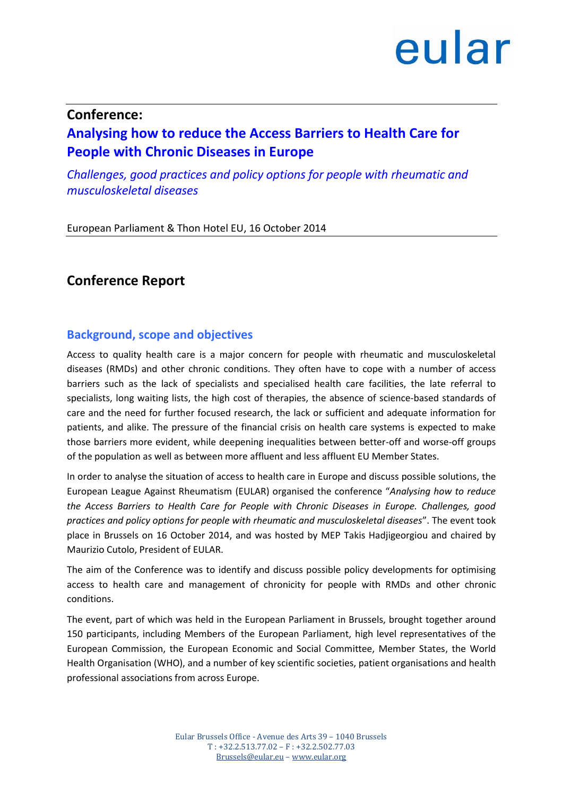#### **Conference:**

### **Analysing how to reduce the Access Barriers to Health Care for People with Chronic Diseases in Europe**

*Challenges, good practices and policy options for people with rheumatic and musculoskeletal diseases*

European Parliament & Thon Hotel EU, 16 October 2014

### **Conference Report**

#### **Background, scope and objectives**

Access to quality health care is a major concern for people with rheumatic and musculoskeletal diseases (RMDs) and other chronic conditions. They often have to cope with a number of access barriers such as the lack of specialists and specialised health care facilities, the late referral to specialists, long waiting lists, the high cost of therapies, the absence of science-based standards of care and the need for further focused research, the lack or sufficient and adequate information for patients, and alike. The pressure of the financial crisis on health care systems is expected to make those barriers more evident, while deepening inequalities between better-off and worse-off groups of the population as well as between more affluent and less affluent EU Member States.

In order to analyse the situation of access to health care in Europe and discuss possible solutions, the European League Against Rheumatism (EULAR) organised the conference "*Analysing how to reduce the Access Barriers to Health Care for People with Chronic Diseases in Europe. Challenges, good practices and policy options for people with rheumatic and musculoskeletal diseases*". The event took place in Brussels on 16 October 2014, and was hosted by MEP Takis Hadjigeorgiou and chaired by Maurizio Cutolo, President of EULAR.

The aim of the Conference was to identify and discuss possible policy developments for optimising access to health care and management of chronicity for people with RMDs and other chronic conditions.

The event, part of which was held in the European Parliament in Brussels, brought together around 150 participants, including Members of the European Parliament, high level representatives of the European Commission, the European Economic and Social Committee, Member States, the World Health Organisation (WHO), and a number of key scientific societies, patient organisations and health professional associations from across Europe.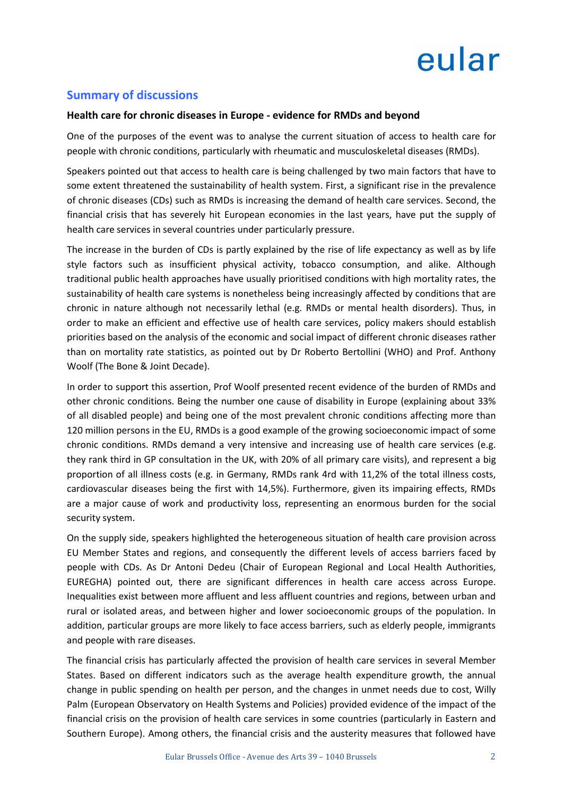#### **Summary of discussions**

#### **Health care for chronic diseases in Europe - evidence for RMDs and beyond**

One of the purposes of the event was to analyse the current situation of access to health care for people with chronic conditions, particularly with rheumatic and musculoskeletal diseases (RMDs).

Speakers pointed out that access to health care is being challenged by two main factors that have to some extent threatened the sustainability of health system. First, a significant rise in the prevalence of chronic diseases (CDs) such as RMDs is increasing the demand of health care services. Second, the financial crisis that has severely hit European economies in the last years, have put the supply of health care services in several countries under particularly pressure.

The increase in the burden of CDs is partly explained by the rise of life expectancy as well as by life style factors such as insufficient physical activity, tobacco consumption, and alike. Although traditional public health approaches have usually prioritised conditions with high mortality rates, the sustainability of health care systems is nonetheless being increasingly affected by conditions that are chronic in nature although not necessarily lethal (e.g. RMDs or mental health disorders). Thus, in order to make an efficient and effective use of health care services, policy makers should establish priorities based on the analysis of the economic and social impact of different chronic diseases rather than on mortality rate statistics, as pointed out by Dr Roberto Bertollini (WHO) and Prof. Anthony Woolf (The Bone & Joint Decade).

In order to support this assertion, Prof Woolf presented recent evidence of the burden of RMDs and other chronic conditions. Being the number one cause of disability in Europe (explaining about 33% of all disabled people) and being one of the most prevalent chronic conditions affecting more than 120 million persons in the EU, RMDs is a good example of the growing socioeconomic impact of some chronic conditions. RMDs demand a very intensive and increasing use of health care services (e.g. they rank third in GP consultation in the UK, with 20% of all primary care visits), and represent a big proportion of all illness costs (e.g. in Germany, RMDs rank 4rd with 11,2% of the total illness costs, cardiovascular diseases being the first with 14,5%). Furthermore, given its impairing effects, RMDs are a major cause of work and productivity loss, representing an enormous burden for the social security system.

On the supply side, speakers highlighted the heterogeneous situation of health care provision across EU Member States and regions, and consequently the different levels of access barriers faced by people with CDs. As Dr Antoni Dedeu (Chair of European Regional and Local Health Authorities, EUREGHA) pointed out, there are significant differences in health care access across Europe. Inequalities exist between more affluent and less affluent countries and regions, between urban and rural or isolated areas, and between higher and lower socioeconomic groups of the population. In addition, particular groups are more likely to face access barriers, such as elderly people, immigrants and people with rare diseases.

The financial crisis has particularly affected the provision of health care services in several Member States. Based on different indicators such as the average health expenditure growth, the annual change in public spending on health per person, and the changes in unmet needs due to cost, Willy Palm (European Observatory on Health Systems and Policies) provided evidence of the impact of the financial crisis on the provision of health care services in some countries (particularly in Eastern and Southern Europe). Among others, the financial crisis and the austerity measures that followed have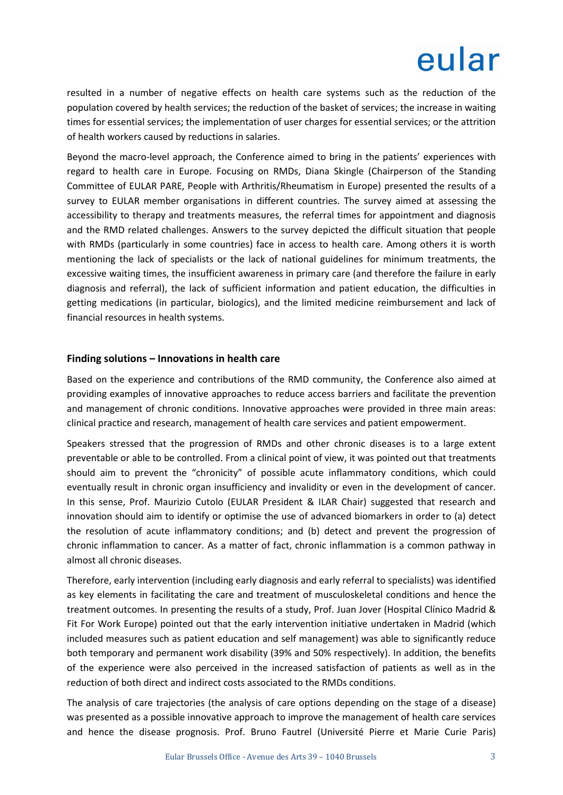resulted in a number of negative effects on health care systems such as the reduction of the population covered by health services; the reduction of the basket of services; the increase in waiting times for essential services; the implementation of user charges for essential services; or the attrition of health workers caused by reductions in salaries.

Beyond the macro-level approach, the Conference aimed to bring in the patients' experiences with regard to health care in Europe. Focusing on RMDs, Diana Skingle (Chairperson of the Standing Committee of EULAR PARE, People with Arthritis/Rheumatism in Europe) presented the results of a survey to EULAR member organisations in different countries. The survey aimed at assessing the accessibility to therapy and treatments measures, the referral times for appointment and diagnosis and the RMD related challenges. Answers to the survey depicted the difficult situation that people with RMDs (particularly in some countries) face in access to health care. Among others it is worth mentioning the lack of specialists or the lack of national guidelines for minimum treatments, the excessive waiting times, the insufficient awareness in primary care (and therefore the failure in early diagnosis and referral), the lack of sufficient information and patient education, the difficulties in getting medications (in particular, biologics), and the limited medicine reimbursement and lack of financial resources in health systems.

#### **Finding solutions – Innovations in health care**

Based on the experience and contributions of the RMD community, the Conference also aimed at providing examples of innovative approaches to reduce access barriers and facilitate the prevention and management of chronic conditions. Innovative approaches were provided in three main areas: clinical practice and research, management of health care services and patient empowerment.

Speakers stressed that the progression of RMDs and other chronic diseases is to a large extent preventable or able to be controlled. From a clinical point of view, it was pointed out that treatments should aim to prevent the "chronicity" of possible acute inflammatory conditions, which could eventually result in chronic organ insufficiency and invalidity or even in the development of cancer. In this sense, Prof. Maurizio Cutolo (EULAR President & ILAR Chair) suggested that research and innovation should aim to identify or optimise the use of advanced biomarkers in order to (a) detect the resolution of acute inflammatory conditions; and (b) detect and prevent the progression of chronic inflammation to cancer. As a matter of fact, chronic inflammation is a common pathway in almost all chronic diseases.

Therefore, early intervention (including early diagnosis and early referral to specialists) was identified as key elements in facilitating the care and treatment of musculoskeletal conditions and hence the treatment outcomes. In presenting the results of a study, Prof. Juan Jover (Hospital Clínico Madrid & Fit For Work Europe) pointed out that the early intervention initiative undertaken in Madrid (which included measures such as patient education and self management) was able to significantly reduce both temporary and permanent work disability (39% and 50% respectively). In addition, the benefits of the experience were also perceived in the increased satisfaction of patients as well as in the reduction of both direct and indirect costs associated to the RMDs conditions.

The analysis of care trajectories (the analysis of care options depending on the stage of a disease) was presented as a possible innovative approach to improve the management of health care services and hence the disease prognosis. Prof. Bruno Fautrel (Université Pierre et Marie Curie Paris)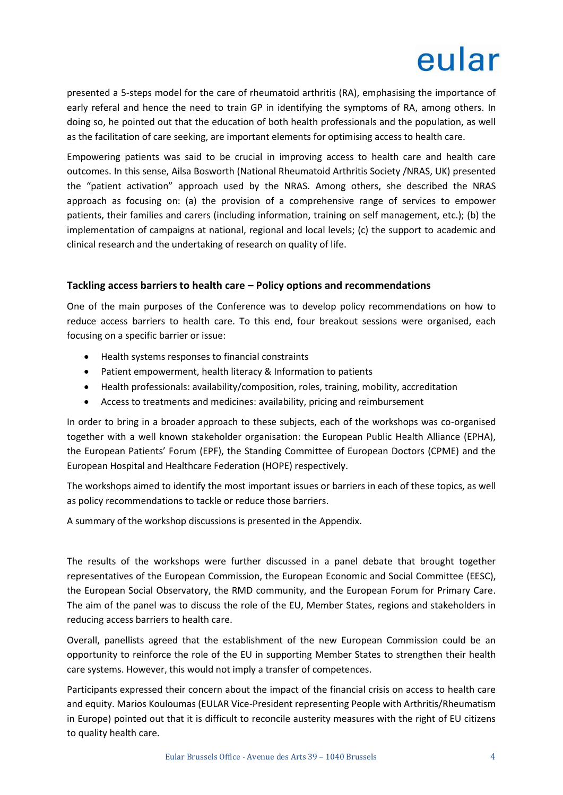presented a 5-steps model for the care of rheumatoid arthritis (RA), emphasising the importance of early referal and hence the need to train GP in identifying the symptoms of RA, among others. In doing so, he pointed out that the education of both health professionals and the population, as well as the facilitation of care seeking, are important elements for optimising access to health care.

Empowering patients was said to be crucial in improving access to health care and health care outcomes. In this sense, Ailsa Bosworth (National Rheumatoid Arthritis Society /NRAS, UK) presented the "patient activation" approach used by the NRAS. Among others, she described the NRAS approach as focusing on: (a) the provision of a comprehensive range of services to empower patients, their families and carers (including information, training on self management, etc.); (b) the implementation of campaigns at national, regional and local levels; (c) the support to academic and clinical research and the undertaking of research on quality of life.

#### **Tackling access barriers to health care – Policy options and recommendations**

One of the main purposes of the Conference was to develop policy recommendations on how to reduce access barriers to health care. To this end, four breakout sessions were organised, each focusing on a specific barrier or issue:

- Health systems responses to financial constraints
- Patient empowerment, health literacy & Information to patients
- Health professionals: availability/composition, roles, training, mobility, accreditation
- Access to treatments and medicines: availability, pricing and reimbursement

In order to bring in a broader approach to these subjects, each of the workshops was co-organised together with a well known stakeholder organisation: the European Public Health Alliance (EPHA), the European Patients' Forum (EPF), the Standing Committee of European Doctors (CPME) and the European Hospital and Healthcare Federation (HOPE) respectively.

The workshops aimed to identify the most important issues or barriers in each of these topics, as well as policy recommendations to tackle or reduce those barriers.

A summary of the workshop discussions is presented in the Appendix.

The results of the workshops were further discussed in a panel debate that brought together representatives of the European Commission, the European Economic and Social Committee (EESC), the European Social Observatory, the RMD community, and the European Forum for Primary Care. The aim of the panel was to discuss the role of the EU, Member States, regions and stakeholders in reducing access barriers to health care.

Overall, panellists agreed that the establishment of the new European Commission could be an opportunity to reinforce the role of the EU in supporting Member States to strengthen their health care systems. However, this would not imply a transfer of competences.

Participants expressed their concern about the impact of the financial crisis on access to health care and equity. Marios Kouloumas (EULAR Vice-President representing People with Arthritis/Rheumatism in Europe) pointed out that it is difficult to reconcile austerity measures with the right of EU citizens to quality health care.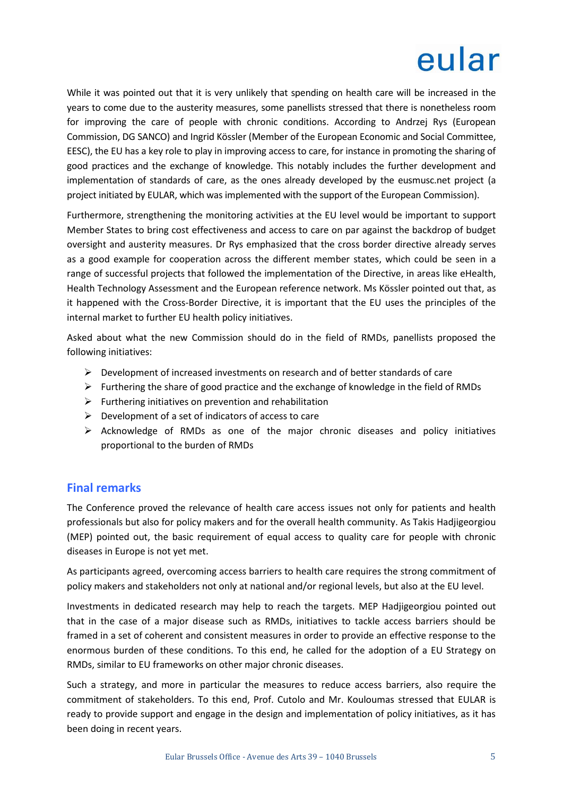While it was pointed out that it is very unlikely that spending on health care will be increased in the years to come due to the austerity measures, some panellists stressed that there is nonetheless room for improving the care of people with chronic conditions. According to Andrzej Rys (European Commission, DG SANCO) and Ingrid Kössler (Member of the European Economic and Social Committee, EESC), the EU has a key role to play in improving access to care, for instance in promoting the sharing of good practices and the exchange of knowledge. This notably includes the further development and implementation of standards of care, as the ones already developed by the eusmusc.net project (a project initiated by EULAR, which was implemented with the support of the European Commission).

Furthermore, strengthening the monitoring activities at the EU level would be important to support Member States to bring cost effectiveness and access to care on par against the backdrop of budget oversight and austerity measures. Dr Rys emphasized that the cross border directive already serves as a good example for cooperation across the different member states, which could be seen in a range of successful projects that followed the implementation of the Directive, in areas like eHealth, Health Technology Assessment and the European reference network. Ms Kössler pointed out that, as it happened with the Cross-Border Directive, it is important that the EU uses the principles of the internal market to further EU health policy initiatives.

Asked about what the new Commission should do in the field of RMDs, panellists proposed the following initiatives:

- $\triangleright$  Development of increased investments on research and of better standards of care
- $\triangleright$  Furthering the share of good practice and the exchange of knowledge in the field of RMDs
- $\triangleright$  Furthering initiatives on prevention and rehabilitation
- $\triangleright$  Development of a set of indicators of access to care
- $\triangleright$  Acknowledge of RMDs as one of the major chronic diseases and policy initiatives proportional to the burden of RMDs

#### **Final remarks**

The Conference proved the relevance of health care access issues not only for patients and health professionals but also for policy makers and for the overall health community. As Takis Hadjigeorgiou (MEP) pointed out, the basic requirement of equal access to quality care for people with chronic diseases in Europe is not yet met.

As participants agreed, overcoming access barriers to health care requires the strong commitment of policy makers and stakeholders not only at national and/or regional levels, but also at the EU level.

Investments in dedicated research may help to reach the targets. MEP Hadjigeorgiou pointed out that in the case of a major disease such as RMDs, initiatives to tackle access barriers should be framed in a set of coherent and consistent measures in order to provide an effective response to the enormous burden of these conditions. To this end, he called for the adoption of a EU Strategy on RMDs, similar to EU frameworks on other major chronic diseases.

Such a strategy, and more in particular the measures to reduce access barriers, also require the commitment of stakeholders. To this end, Prof. Cutolo and Mr. Kouloumas stressed that EULAR is ready to provide support and engage in the design and implementation of policy initiatives, as it has been doing in recent years.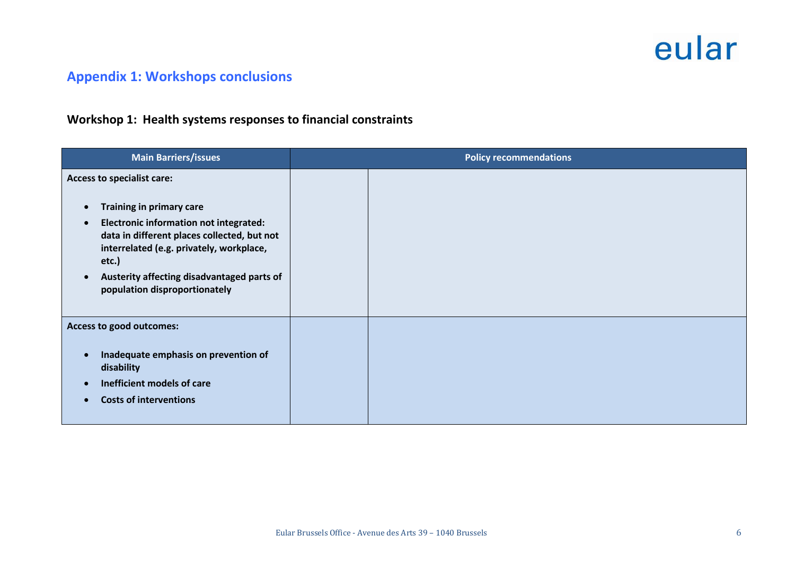### **Appendix 1: Workshops conclusions**

### **Workshop 1: Health systems responses to financial constraints**

| <b>Main Barriers/issues</b>                                                                                                                                                                                                                                                                       | <b>Policy recommendations</b> |  |
|---------------------------------------------------------------------------------------------------------------------------------------------------------------------------------------------------------------------------------------------------------------------------------------------------|-------------------------------|--|
| Access to specialist care:<br><b>Training in primary care</b><br><b>Electronic information not integrated:</b><br>data in different places collected, but not<br>interrelated (e.g. privately, workplace,<br>etc.)<br>Austerity affecting disadvantaged parts of<br>population disproportionately |                               |  |
| Access to good outcomes:<br>Inadequate emphasis on prevention of<br>disability<br>Inefficient models of care<br><b>Costs of interventions</b>                                                                                                                                                     |                               |  |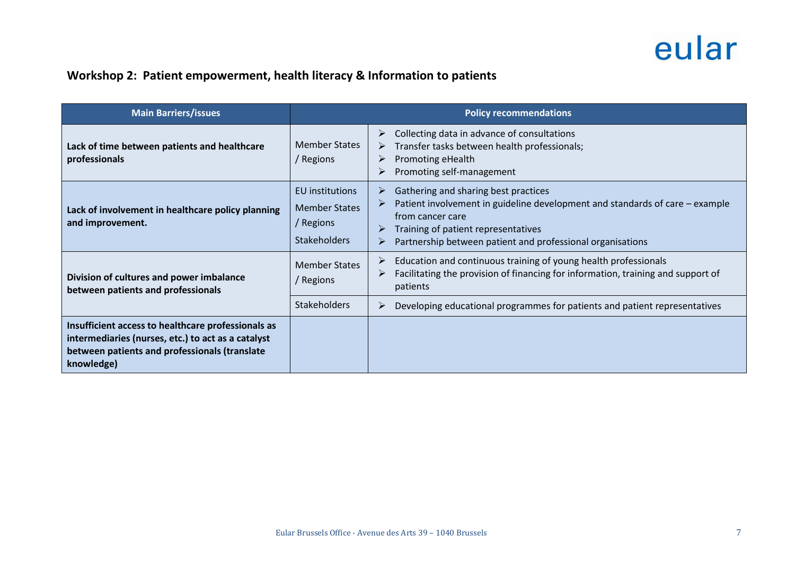### **Workshop 2: Patient empowerment, health literacy & Information to patients**

| <b>Main Barriers/issues</b>                                                                                                                                             | <b>Policy recommendations</b>                                               |                                                                                                                                                                                                                                                         |  |
|-------------------------------------------------------------------------------------------------------------------------------------------------------------------------|-----------------------------------------------------------------------------|---------------------------------------------------------------------------------------------------------------------------------------------------------------------------------------------------------------------------------------------------------|--|
| Lack of time between patients and healthcare<br>professionals                                                                                                           | <b>Member States</b><br>/ Regions                                           | Collecting data in advance of consultations<br>➤<br>Transfer tasks between health professionals;<br>➤<br>Promoting eHealth<br>➤<br>Promoting self-management                                                                                            |  |
| Lack of involvement in healthcare policy planning<br>and improvement.                                                                                                   | EU institutions<br><b>Member States</b><br>/ Regions<br><b>Stakeholders</b> | Gathering and sharing best practices<br>➤<br>Patient involvement in guideline development and standards of care – example<br>from cancer care<br>Training of patient representatives<br>➤<br>Partnership between patient and professional organisations |  |
| Division of cultures and power imbalance<br>between patients and professionals                                                                                          | <b>Member States</b><br>/ Regions                                           | Education and continuous training of young health professionals<br>➤<br>Facilitating the provision of financing for information, training and support of<br>patients                                                                                    |  |
|                                                                                                                                                                         | <b>Stakeholders</b>                                                         | Developing educational programmes for patients and patient representatives<br>➤                                                                                                                                                                         |  |
| Insufficient access to healthcare professionals as<br>intermediaries (nurses, etc.) to act as a catalyst<br>between patients and professionals (translate<br>knowledge) |                                                                             |                                                                                                                                                                                                                                                         |  |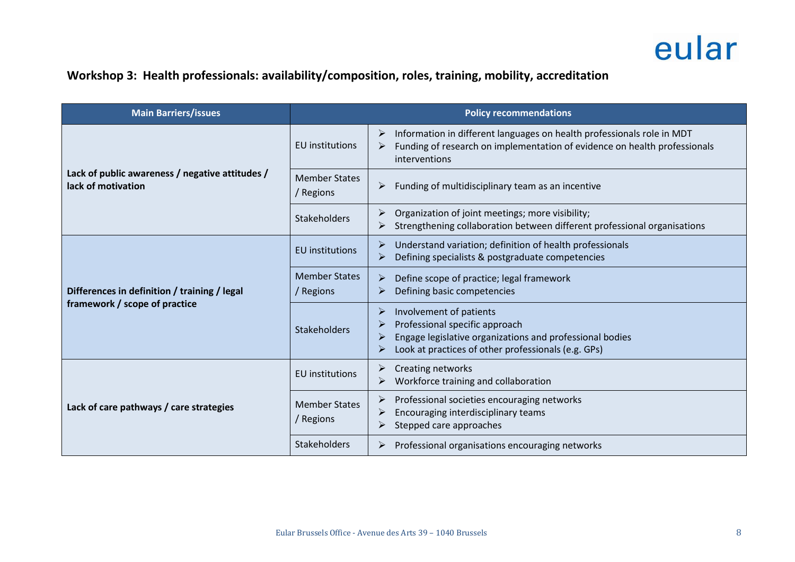### **Workshop 3: Health professionals: availability/composition, roles, training, mobility, accreditation**

| <b>Main Barriers/issues</b>                                                   | <b>Policy recommendations</b>     |                                                                                                                                                                              |  |
|-------------------------------------------------------------------------------|-----------------------------------|------------------------------------------------------------------------------------------------------------------------------------------------------------------------------|--|
| Lack of public awareness / negative attitudes /<br>lack of motivation         | EU institutions                   | Information in different languages on health professionals role in MDT<br>➤<br>Funding of research on implementation of evidence on health professionals<br>interventions    |  |
|                                                                               | <b>Member States</b><br>/ Regions | Funding of multidisciplinary team as an incentive<br>➤                                                                                                                       |  |
|                                                                               | <b>Stakeholders</b>               | Organization of joint meetings; more visibility;<br>Strengthening collaboration between different professional organisations                                                 |  |
| Differences in definition / training / legal<br>framework / scope of practice | <b>EU</b> institutions            | Understand variation; definition of health professionals<br>Defining specialists & postgraduate competencies<br>➤                                                            |  |
|                                                                               | <b>Member States</b><br>/ Regions | Define scope of practice; legal framework<br>Defining basic competencies                                                                                                     |  |
|                                                                               | <b>Stakeholders</b>               | Involvement of patients<br>Professional specific approach<br>Engage legislative organizations and professional bodies<br>Look at practices of other professionals (e.g. GPs) |  |
| Lack of care pathways / care strategies                                       | <b>EU</b> institutions            | Creating networks<br>Workforce training and collaboration<br>➤                                                                                                               |  |
|                                                                               | <b>Member States</b><br>/ Regions | Professional societies encouraging networks<br>Encouraging interdisciplinary teams<br>Stepped care approaches                                                                |  |
|                                                                               | <b>Stakeholders</b>               | Professional organisations encouraging networks                                                                                                                              |  |